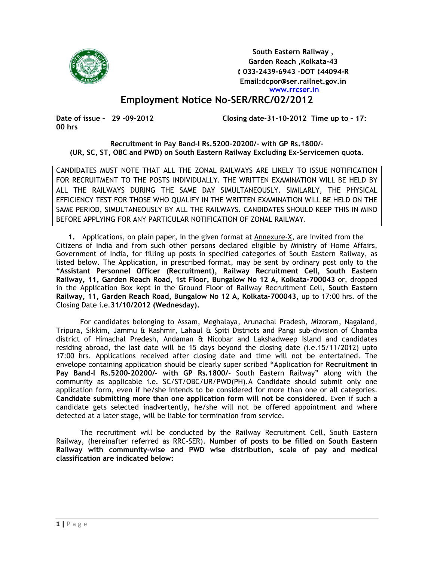

**South Eastern Railway , Garden Reach ,Kolkata-43**  § **033-2439-6943 –DOT** §**44094-R Email:dcpor@ser.railnet.gov.in www.rrcser.in**

# **Employment Notice No-SER/RRC/02/2012**

**00 hrs** 

**Date of issue – 29 -09-2012 Closing date-31-10-2012 Time up to – 17:** 

**Recruitment in Pay Band-I Rs.5200-20200/- with GP Rs.1800/- (UR, SC, ST, OBC and PWD) on South Eastern Railway Excluding Ex-Servicemen quota.** 

CANDIDATES MUST NOTE THAT ALL THE ZONAL RAILWAYS ARE LIKELY TO ISSUE NOTIFICATION FOR RECRUITMENT TO THE POSTS INDIVIDUALLY. THE WRITTEN EXAMINATION WILL BE HELD BY ALL THE RAILWAYS DURING THE SAME DAY SIMULTANEOUSLY. SIMILARLY, THE PHYSICAL EFFICIENCY TEST FOR THOSE WHO QUALIFY IN THE WRITTEN EXAMINATION WILL BE HELD ON THE SAME PERIOD, SIMULTANEOUSLY BY ALL THE RAILWAYS. CANDIDATES SHOULD KEEP THIS IN MIND BEFORE APPLYING FOR ANY PARTICULAR NOTIFICATION OF ZONAL RAILWAY.

**1.** Applications, on plain paper, in the given format at Annexure-X, are invited from the Citizens of India and from such other persons declared eligible by Ministry of Home Affairs, Government of India, for filling up posts in specified categories of South Eastern Railway, as listed below. The Application, in prescribed format, may be sent by ordinary post only to the "**Assistant Personnel Officer (Recruitment), Railway Recruitment Cell, South Eastern Railway, 11, Garden Reach Road, 1st Floor, Bungalow No 12 A, Kolkata-700043** or, dropped in the Application Box kept in the Ground Floor of Railway Recruitment Cell, **South Eastern Railway, 11, Garden Reach Road, Bungalow No 12 A, Kolkata-700043**, up to 17:00 hrs. of the Closing Date i.e.**31/10/2012 (Wednesday).** 

For candidates belonging to Assam, Meghalaya, Arunachal Pradesh, Mizoram, Nagaland, Tripura, Sikkim, Jammu & Kashmir, Lahaul & Spiti Districts and Pangi sub-division of Chamba district of Himachal Predesh, Andaman & Nicobar and Lakshadweep Island and candidates residing abroad, the last date will be 15 days beyond the closing date (i.e.15/11/2012) upto 17:00 hrs. Applications received after closing date and time will not be entertained. The envelope containing application should be clearly super scribed "Application for **Recruitment in Pay Band-I Rs.5200-20200/- with GP Rs.1800/-** South Eastern Railway" along with the community as applicable i.e. SC/ST/OBC/UR/PWD(PH).A Candidate should submit only one application form, even if he/she intends to be considered for more than one or all categories. **Candidate submitting more than one application form will not be considered**. Even if such a candidate gets selected inadvertently, he/she will not be offered appointment and where detected at a later stage, will be liable for termination from service.

The recruitment will be conducted by the Railway Recruitment Cell, South Eastern Railway, (hereinafter referred as RRC-SER). **Number of posts to be filled on South Eastern Railway with community-wise and PWD wise distribution, scale of pay and medical classification are indicated below:**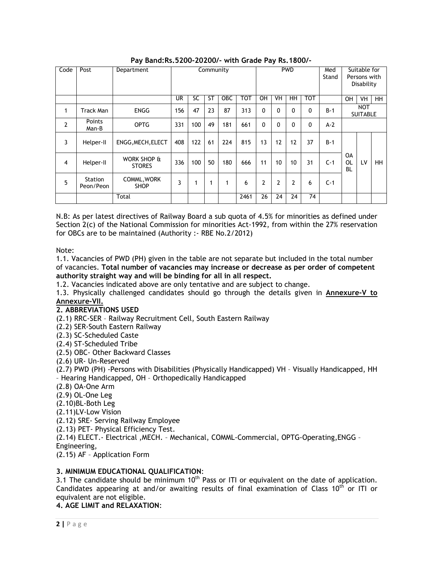| Code           | Post           | Department        | Community |     |              |            |            |                |                | <b>PWD</b>     |            | Med   | Suitable for |                 |           |
|----------------|----------------|-------------------|-----------|-----|--------------|------------|------------|----------------|----------------|----------------|------------|-------|--------------|-----------------|-----------|
|                |                |                   |           |     |              |            |            |                |                |                |            | Stand | Persons with |                 |           |
|                |                |                   |           |     |              |            |            |                |                |                |            |       | Disability   |                 |           |
|                |                |                   |           |     |              |            |            |                |                |                |            |       |              |                 |           |
|                |                |                   |           |     |              |            |            |                |                |                |            |       |              |                 |           |
|                |                |                   | <b>UR</b> | SC  | SΤ           | <b>OBC</b> | <b>TOT</b> | OН             | VH             | <b>HH</b>      | <b>TOT</b> |       | <b>OH</b>    | VH              | HH        |
| 1              | Track Man      | <b>ENGG</b>       | 156       | 47  | 23           | 87         | 313        | 0              | $\mathbf 0$    | 0              | 0          | $B-1$ |              | <b>NOT</b>      |           |
|                |                |                   |           |     |              |            |            |                |                |                |            |       |              | <b>SUITABLE</b> |           |
| $\overline{2}$ | <b>Points</b>  | <b>OPTG</b>       | 331       | 100 | 49           | 181        | 661        | $\Omega$       | 0              | $\mathbf{0}$   | 0          | $A-2$ |              |                 |           |
|                | Man-B          |                   |           |     |              |            |            |                |                |                |            |       |              |                 |           |
|                |                |                   |           |     |              |            |            |                |                |                |            |       |              |                 |           |
| 3              | Helper-II      | ENGG, MECH, ELECT | 408       | 122 | 61           | 224        | 815        | 13             | 12             | 12             | 37         | $B-1$ |              |                 |           |
|                |                |                   |           |     |              |            |            |                |                |                |            |       |              |                 |           |
|                |                |                   |           |     |              |            |            |                |                |                |            |       | 0A           |                 |           |
| 4              | Helper-II      | work shop &       | 336       | 100 | 50           | 180        | 666        | 11             | 10             | 10             | 31         | $C-1$ | <b>OL</b>    | LV              | <b>HH</b> |
|                |                | <b>STORES</b>     |           |     |              |            |            |                |                |                |            |       | <b>BL</b>    |                 |           |
|                | <b>Station</b> |                   |           |     |              |            |            |                |                |                |            |       |              |                 |           |
| 5              |                | COMML, WORK       | 3         | 1   | $\mathbf{1}$ | 1          | 6          | $\overline{2}$ | $\overline{2}$ | $\overline{2}$ | 6          | $C-1$ |              |                 |           |
|                | Peon/Peon      | <b>SHOP</b>       |           |     |              |            |            |                |                |                |            |       |              |                 |           |
|                |                | Total             |           |     |              |            | 2461       | 26             | 24             | 24             | 74         |       |              |                 |           |
|                |                |                   |           |     |              |            |            |                |                |                |            |       |              |                 |           |

**Pay Band:Rs.5200-20200/- with Grade Pay Rs.1800/-**

N.B: As per latest directives of Railway Board a sub quota of 4.5% for minorities as defined under Section 2(c) of the National Commission for minorities Act-1992, from within the 27% reservation for OBCs are to be maintained (Authority :- RBE No.2/2012)

## Note:

1.1. Vacancies of PWD (PH) given in the table are not separate but included in the total number of vacancies. **Total number of vacancies may increase or decrease as per order of competent authority straight way and will be binding for all in all respect.** 

1.2. Vacancies indicated above are only tentative and are subject to change.

1.3. Physically challenged candidates should go through the details given in **Annexure-V to Annexure-VII.**

## **2. ABBREVIATIONS USED**

(2.1) RRC-SER – Railway Recruitment Cell, South Eastern Railway

(2.2) SER-South Eastern Railway

(2.3) SC-Scheduled Caste

(2.4) ST-Scheduled Tribe

(2.5) OBC- Other Backward Classes

(2.6) UR- Un-Reserved

(2.7) PWD (PH) -Persons with Disabilities (Physically Handicapped) VH – Visually Handicapped, HH – Hearing Handicapped, OH – Orthopedically Handicapped

(2.8) OA-One Arm

(2.9) OL-One Leg

(2.10)BL-Both Leg

(2.11)LV-Low Vision

(2.12) SRE- Serving Railway Employee

(2.13) PET- Physical Efficiency Test.

(2.14) ELECT.- Electrical ,MECH. – Mechanical, COMML-Commercial, OPTG-Operating,ENGG –

Engineering,

(2.15) AF – Application Form

## **3. MINIMUM EDUCATIONAL QUALIFICATION**:

3.1 The candidate should be minimum 10<sup>th</sup> Pass or ITI or equivalent on the date of application. Candidates appearing at and/or awaiting results of final examination of Class 10<sup>th</sup> or ITI or equivalent are not eligible.

**4. AGE LIMIT and RELAXATION**: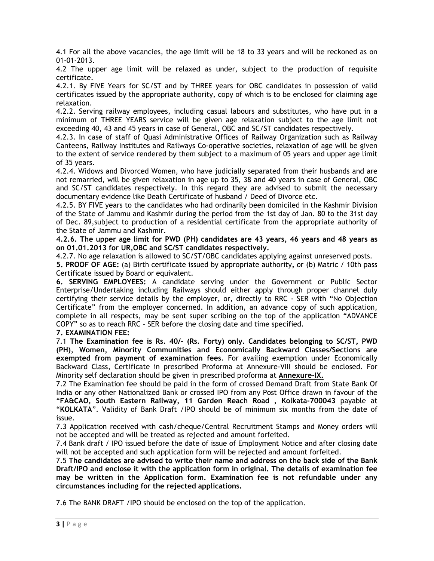4.1 For all the above vacancies, the age limit will be 18 to 33 years and will be reckoned as on 01-01-2013.

4.2 The upper age limit will be relaxed as under, subject to the production of requisite certificate.

4.2.1. By FIVE Years for SC/ST and by THREE years for OBC candidates in possession of valid certificates issued by the appropriate authority, copy of which is to be enclosed for claiming age relaxation.

4.2.2. Serving railway employees, including casual labours and substitutes, who have put in a minimum of THREE YEARS service will be given age relaxation subject to the age limit not exceeding 40, 43 and 45 years in case of General, OBC and SC/ST candidates respectively.

4.2.3. In case of staff of Quasi Administrative Offices of Railway Organization such as Railway Canteens, Railway Institutes and Railways Co-operative societies, relaxation of age will be given to the extent of service rendered by them subject to a maximum of 05 years and upper age limit of 35 years.

4.2.4. Widows and Divorced Women, who have judicially separated from their husbands and are not remarried, will be given relaxation in age up to 35, 38 and 40 years in case of General, OBC and SC/ST candidates respectively. In this regard they are advised to submit the necessary documentary evidence like Death Certificate of husband / Deed of Divorce etc.

4.2.5. BY FIVE years to the candidates who had ordinarily been domiciled in the Kashmir Division of the State of Jammu and Kashmir during the period from the 1st day of Jan. 80 to the 31st day of Dec. 89,subject to production of a residential certificate from the appropriate authority of the State of Jammu and Kashmir.

**4.2.6. The upper age limit for PWD (PH) candidates are 43 years, 46 years and 48 years as on 01.01.2013 for UR,OBC and SC/ST candidates respectively.** 

4.2.7. No age relaxation is allowed to SC/ST/OBC candidates applying against unreserved posts.

**5. PROOF OF AGE:** (a) Birth certificate issued by appropriate authority**,** or (b) Matric / 10th pass Certificate issued by Board or equivalent.

**6. SERVING EMPLOYEES:** A candidate serving under the Government or Public Sector Enterprise/Undertaking including Railways should either apply through proper channel duly certifying their service details by the employer, or, directly to RRC - SER with "No Objection Certificate" from the employer concerned. In addition, an advance copy of such application, complete in all respects, may be sent super scribing on the top of the application "ADVANCE COPY" so as to reach RRC – SER before the closing date and time specified.

## **7. EXAMINATION FEE:**

7.1 **The Examination fee is Rs. 40/- (Rs. Forty) only. Candidates belonging to SC/ST, PWD (PH), Women, Minority Communities and Economically Backward Classes/Sections are exempted from payment of examination fees**. For availing exemption under Economically Backward Class, Certificate in prescribed Proforma at Annexure-VIII should be enclosed. For Minority self declaration should be given in prescribed proforma at **Annexure-IX.**

7.2 The Examination fee should be paid in the form of crossed Demand Draft from State Bank Of India or any other Nationalized Bank or crossed IPO from any Post Office drawn in favour of the "**FA&CAO, South Eastern Railway, 11 Garden Reach Road , Kolkata-700043** payable at "**KOLKATA**". Validity of Bank Draft /IPO should be of minimum six months from the date of issue.

7.3 Application received with cash/cheque/Central Recruitment Stamps and Money orders will not be accepted and will be treated as rejected and amount forfeited.

7.4 Bank draft / IPO issued before the date of issue of Employment Notice and after closing date will not be accepted and such application form will be rejected and amount forfeited.

7.5 **The candidates are advised to write their name and address on the back side of the Bank Draft/IPO and enclose it with the application form in original. The details of examination fee may be written in the Application form. Examination fee is not refundable under any circumstances including for the rejected applications.**

7.6 The BANK DRAFT /IPO should be enclosed on the top of the application.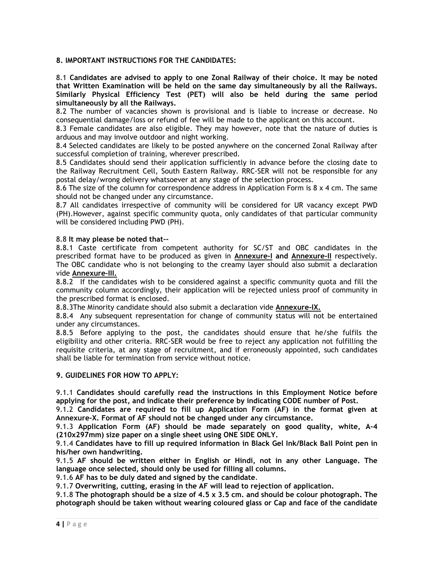## **8. IMPORTANT INSTRUCTIONS FOR THE CANDIDATES:**

8.1 **Candidates are advised to apply to one Zonal Railway of their choice. It may be noted that Written Examination will be held on the same day simultaneously by all the Railways. Similarly Physical Efficiency Test (PET) will also be held during the same period simultaneously by all the Railways.** 

8.2 The number of vacancies shown is provisional and is liable to increase or decrease. No consequential damage/loss or refund of fee will be made to the applicant on this account.

8.3 Female candidates are also eligible. They may however, note that the nature of duties is arduous and may involve outdoor and night working.

8.4 Selected candidates are likely to be posted anywhere on the concerned Zonal Railway after successful completion of training, wherever prescribed.

8.5 Candidates should send their application sufficiently in advance before the closing date to the Railway Recruitment Cell, South Eastern Railway. RRC-SER will not be responsible for any postal delay/wrong delivery whatsoever at any stage of the selection process.

8.6 The size of the column for correspondence address in Application Form is 8 x 4 cm. The same should not be changed under any circumstance.

8.7 All candidates irrespective of community will be considered for UR vacancy except PWD (PH).However, against specific community quota, only candidates of that particular community will be considered including PWD (PH).

## 8.8 **It may please be noted that--**

8.8.1 Caste certificate from competent authority for SC/ST and OBC candidates in the prescribed format have to be produced as given in **Annexure-I and Annexure-II** respectively. The OBC candidate who is not belonging to the creamy layer should also submit a declaration vide **Annexure-III.**

8.8.2 If the candidates wish to be considered against a specific community quota and fill the community column accordingly, their application will be rejected unless proof of community in the prescribed format is enclosed.

8.8.3The Minority candidate should also submit a declaration vide **Annexure-IX.**

8.8.4 Any subsequent representation for change of community status will not be entertained under any circumstances.

8.8.5 Before applying to the post, the candidates should ensure that he/she fulfils the eligibility and other criteria. RRC-SER would be free to reject any application not fulfilling the requisite criteria, at any stage of recruitment, and if erroneously appointed, such candidates shall be liable for termination from service without notice.

### **9. GUIDELINES FOR HOW TO APPLY:**

9.1.1 **Candidates should carefully read the instructions in this Employment Notice before applying for the post, and indicate their preference by indicating CODE number of Post.** 

9.1.2 **Candidates are required to fill up Application Form (AF) in the format given at Annexure-X. Format of AF should not be changed under any circumstance.** 

9.1.3 **Application Form (AF) should be made separately on good quality, white, A-4 (210x297mm) size paper on a single sheet using ONE SIDE ONLY.** 

9.1.4 **Candidates have to fill up required information in Black Gel Ink/Black Ball Point pen in his/her own handwriting.** 

9.1.5 **AF should be written either in English or Hindi, not in any other Language. The language once selected, should only be used for filling all columns.** 

9.1.6 **AF has to be duly dated and signed by the candidate**.

9.1.7 **Overwriting, cutting, erasing in the AF will lead to rejection of application.** 

9.1.8 **The photograph should be a size of 4.5 x 3.5 cm. and should be colour photograph. The photograph should be taken without wearing coloured glass or Cap and face of the candidate**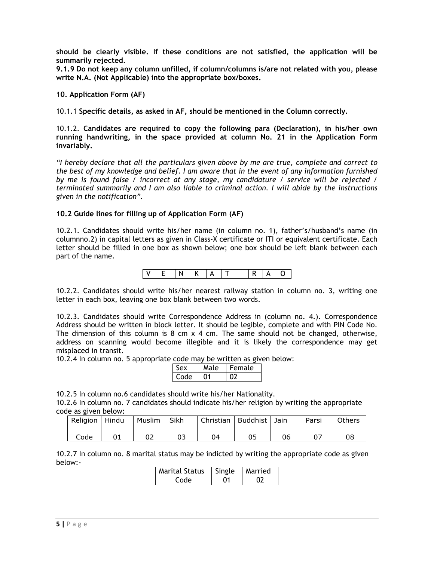**should be clearly visible. If these conditions are not satisfied, the application will be summarily rejected.** 

**9.1.9 Do not keep any column unfilled, if column/columns is/are not related with you, please write N.A. (Not Applicable) into the appropriate box/boxes.** 

**10. Application Form (AF)** 

10.1.1 **Specific details, as asked in AF, should be mentioned in the Column correctly.** 

10.1.2. **Candidates are required to copy the following para (Declaration), in his/her own running handwriting, in the space provided at column No. 21 in the Application Form invariably.** 

*"I hereby declare that all the particulars given above by me are true, complete and correct to the best of my knowledge and belief. I am aware that in the event of any information furnished by me is found false / incorrect at any stage, my candidature / service will be rejected / terminated summarily and I am also liable to criminal action. I will abide by the instructions given in the notification".* 

## **10.2 Guide lines for filling up of Application Form (AF)**

10.2.1. Candidates should write his/her name (in column no. 1), father's/husband's name (in columnno.2) in capital letters as given in Class-X certificate or ITI or equivalent certificate. Each letter should be filled in one box as shown below; one box should be left blank between each part of the name.



10.2.2. Candidates should write his/her nearest railway station in column no. 3, writing one letter in each box, leaving one box blank between two words.

10.2.3. Candidates should write Correspondence Address in (column no. 4.). Correspondence Address should be written in block letter. It should be legible, complete and with PIN Code No. The dimension of this column is  $8 \text{ cm} \times 4 \text{ cm}$ . The same should not be changed, otherwise, address on scanning would become illegible and it is likely the correspondence may get misplaced in transit.

10.2.4 In column no. 5 appropriate code may be written as given below:

|     | Aale | Female |
|-----|------|--------|
| ം പ | - 11 |        |

10.2.5 In column no.6 candidates should write his/her Nationality.

10.2.6 In column no. 7 candidates should indicate his/her religion by writing the appropriate code as given below:

| Religion | l Hindu | Muslim | Sikh | Christian | Buddhist | Jain | Parsi | <b>Others</b> |
|----------|---------|--------|------|-----------|----------|------|-------|---------------|
|          |         |        |      |           |          |      |       |               |
| Code     |         | 02     | υJ   | 04        |          | 06   |       | 08            |

10.2.7 In column no. 8 marital status may be indicted by writing the appropriate code as given below:-

| l Marital Status | I Single | Married |
|------------------|----------|---------|
| Code             |          |         |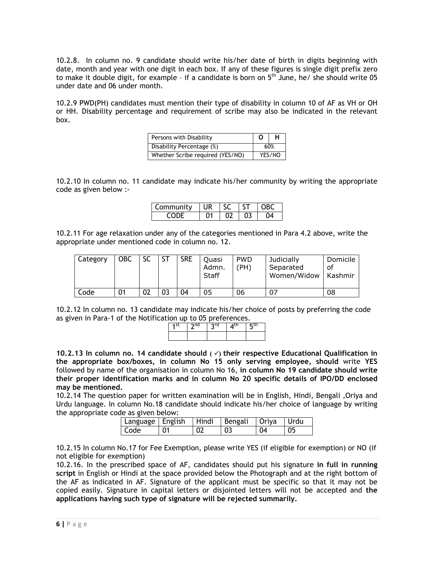10.2.8. In column no. 9 candidate should write his/her date of birth in digits beginning with date, month and year with one digit in each box. If any of these figures is single digit prefix zero to make it double digit, for example - if a candidate is born on  $5<sup>th</sup>$  June, he/ she should write 05 under date and 06 under month.

10.2.9 PWD(PH) candidates must mention their type of disability in column 10 of AF as VH or OH or HH. Disability percentage and requirement of scribe may also be indicated in the relevant box.

| Persons with Disability          | н      |
|----------------------------------|--------|
| Disability Percentage (%)        | 60%    |
| Whether Scribe required (YES/NO) | YES/NO |

10.2.10 In column no. 11 candidate may indicate his/her community by writing the appropriate code as given below :-

| ∴ommunit∨ | l IR |  |  |
|-----------|------|--|--|
|           |      |  |  |

10.2.11 For age relaxation under any of the categories mentioned in Para 4.2 above, write the appropriate under mentioned code in column no. 12.

| Category | <b>OBC</b> |    |    | SRE | Ouasi<br>Admn.<br>Staff | <b>PWD</b><br>(PH) | Judicially<br>Separated<br>Women/Widow | Domicile<br>οt<br>Kashmir |
|----------|------------|----|----|-----|-------------------------|--------------------|----------------------------------------|---------------------------|
| Code     | 01         | 02 | 03 | 04  | 05                      | 06                 | 07                                     | 08                        |

10.2.12 In column no. 13 candidate may indicate his/her choice of posts by preferring the code as given in Para-1 of the Notification up to 05 preferences.

| $2n$ d | rd ר |  |
|--------|------|--|
|        |      |  |

**10.2.13 In column no. 14 candidate should (** 3**) their respective Educational Qualification in the appropriate box/boxes, in column No 15 only serving employee, should** write **YES**  followed by name of the organisation in column No 16, **in column No 19 candidate should write their proper identification marks and in column No 20 specific details of IPO/DD enclosed may be mentioned.** 

10.2.14 The question paper for written examination will be in English, Hindi, Bengali ,Oriya and Urdu language. In column No.18 candidate should indicate his/her choice of language by writing the appropriate code as given below:

| Language   English   Hindi |    | Bengali   Oriya   Urdu |    |    |
|----------------------------|----|------------------------|----|----|
| Code                       | 02 |                        | 04 | 05 |

10.2.15 In column No.17 for Fee Exemption, please write YES (if eligible for exemption) or NO (if not eligible for exemption)

10.2.16. In the prescribed space of AF, candidates should put his signature **in full in running script** in English or Hindi at the space provided below the Photograph and at the right bottom of the AF as indicated in AF. Signature of the applicant must be specific so that it may not be copied easily. Signature in capital letters or disjointed letters will not be accepted and **the applications having such type of signature will be rejected summarily.**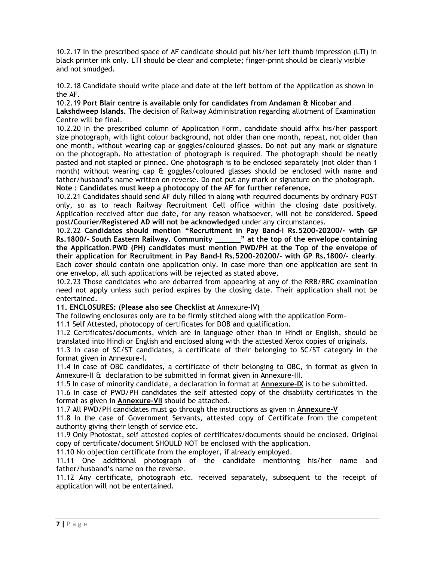10.2.17 In the prescribed space of AF candidate should put his/her left thumb impression (LTI) in black printer ink only. LTI should be clear and complete; finger-print should be clearly visible and not smudged.

10.2.18 Candidate should write place and date at the left bottom of the Application as shown in the AF.

10.2.19 **Port Blair centre is available only for candidates from Andaman & Nicobar and Lakshdweep Islands.** The decision of Railway Administration regarding allotment of Examination Centre will be final.

10.2.20 In the prescribed column of Application Form, candidate should affix his/her passport size photograph, with light colour background, not older than one month, repeat, not older than one month, without wearing cap or goggles/coloured glasses. Do not put any mark or signature on the photograph. No attestation of photograph is required. The photograph should be neatly pasted and not stapled or pinned. One photograph is to be enclosed separately (not older than 1 month) without wearing cap & goggles/coloured glasses should be enclosed with name and father/husband's name written on reverse. Do not put any mark or signature on the photograph. **Note : Candidates must keep a photocopy of the AF for further reference.** 

10.2.21 Candidates should send AF duly filled in along with required documents by ordinary POST only, so as to reach Railway Recruitment Cell office within the closing date positively. Application received after due date, for any reason whatsoever, will not be considered. **Speed post/Courier/Registered AD will not be acknowledged** under any circumstances.

10.2.22 **Candidates should mention "Recruitment in Pay Band-I Rs.5200-20200/- with GP Rs.1800/- South Eastern Railway. Community \_\_\_\_\_\_" at the top of the envelope containing the Application**.**PWD (PH) candidates must mention PWD/PH at the Top of the envelope of their application for Recruitment in Pay Band-I Rs.5200-20200/- with GP Rs.1800/- clearly**. Each cover should contain one application only. In case more than one application are sent in one envelop, all such applications will be rejected as stated above.

10.2.23 Those candidates who are debarred from appearing at any of the RRB/RRC examination need not apply unless such period expires by the closing date. Their application shall not be entertained.

## **11. ENCLOSURES: (Please also see Checklist at** Annexure-IV**)**

The following enclosures only are to be firmly stitched along with the application Form-

11.1 Self Attested, photocopy of certificates for DOB and qualification.

11.2 Certificates/documents, which are in language other than in Hindi or English, should be translated into Hindi or English and enclosed along with the attested Xerox copies of originals.

11.3 In case of SC/ST candidates, a certificate of their belonging to SC/ST category in the format given in Annexure-I.

11.4 In case of OBC candidates, a certificate of their belonging to OBC, in format as given in Annexure-II & declaration to be submitted in format given in Annexure-III.

11.5 In case of minority candidate, a declaration in format at **Annexure-IX** is to be submitted.

11.6 In case of PWD/PH candidates the self attested copy of the disability certificates in the format as given in **Annexure-VII** should be attached.

11.7 All PWD/PH candidates must go through the instructions as given in **Annexure-V**

11.8 In the case of Government Servants, attested copy of Certificate from the competent authority giving their length of service etc.

11.9 Only Photostat, self attested copies of certificates/documents should be enclosed. Original copy of certificate/document SHOULD NOT be enclosed with the application.

11.10 No objection certificate from the employer, if already employed.

11.11 One additional photograph of the candidate mentioning his/her name and father/husband's name on the reverse.

11.12 Any certificate, photograph etc. received separately, subsequent to the receipt of application will not be entertained.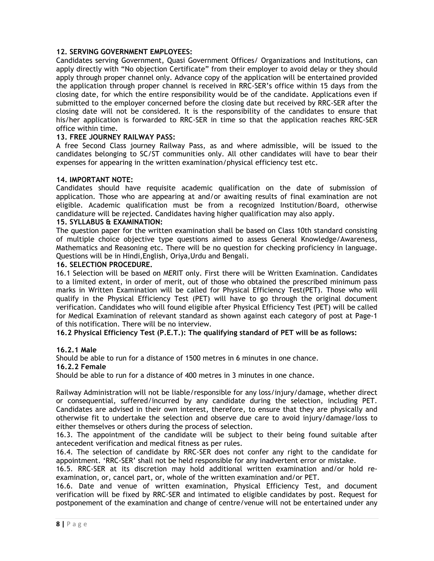## **12. SERVING GOVERNMENT EMPLOYEES:**

Candidates serving Government, Quasi Government Offices/ Organizations and Institutions, can apply directly with "No objection Certificate" from their employer to avoid delay or they should apply through proper channel only. Advance copy of the application will be entertained provided the application through proper channel is received in RRC-SER's office within 15 days from the closing date, for which the entire responsibility would be of the candidate. Applications even if submitted to the employer concerned before the closing date but received by RRC-SER after the closing date will not be considered. It is the responsibility of the candidates to ensure that his/her application is forwarded to RRC-SER in time so that the application reaches RRC-SER office within time.

## **13. FREE JOURNEY RAILWAY PASS:**

A free Second Class journey Railway Pass, as and where admissible, will be issued to the candidates belonging to SC/ST communities only. All other candidates will have to bear their expenses for appearing in the written examination/physical efficiency test etc.

## **14. IMPORTANT NOTE:**

Candidates should have requisite academic qualification on the date of submission of application. Those who are appearing at and/or awaiting results of final examination are not eligible. Academic qualification must be from a recognized Institution/Board, otherwise candidature will be rejected. Candidates having higher qualification may also apply.

## **15. SYLLABUS & EXAMINATION:**

The question paper for the written examination shall be based on Class 10th standard consisting of multiple choice objective type questions aimed to assess General Knowledge/Awareness, Mathematics and Reasoning etc. There will be no question for checking proficiency in language. Questions will be in Hindi,English, Oriya,Urdu and Bengali.

## **16. SELECTION PROCEDURE.**

16.1 Selection will be based on MERIT only. First there will be Written Examination. Candidates to a limited extent, in order of merit, out of those who obtained the prescribed minimum pass marks in Written Examination will be called for Physical Efficiency Test(PET). Those who will qualify in the Physical Efficiency Test (PET) will have to go through the original document verification. Candidates who will found eligible after Physical Efficiency Test (PET) will be called for Medical Examination of relevant standard as shown against each category of post at Page-1 of this notification. There will be no interview.

**16.2 Physical Efficiency Test (P.E.T.): The qualifying standard of PET will be as follows:** 

### **16.2.1 Male**

Should be able to run for a distance of 1500 metres in 6 minutes in one chance.

## **16.2.2 Female**

Should be able to run for a distance of 400 metres in 3 minutes in one chance.

Railway Administration will not be liable/responsible for any loss/injury/damage, whether direct or consequential, suffered/incurred by any candidate during the selection, including PET. Candidates are advised in their own interest, therefore, to ensure that they are physically and otherwise fit to undertake the selection and observe due care to avoid injury/damage/loss to either themselves or others during the process of selection.

16.3. The appointment of the candidate will be subject to their being found suitable after antecedent verification and medical fitness as per rules.

16.4. The selection of candidate by RRC-SER does not confer any right to the candidate for appointment. 'RRC-SER' shall not be held responsible for any inadvertent error or mistake.

16.5. RRC-SER at its discretion may hold additional written examination and/or hold reexamination, or, cancel part, or, whole of the written examination and/or PET.

16.6. Date and venue of written examination, Physical Efficiency Test, and document verification will be fixed by RRC-SER and intimated to eligible candidates by post. Request for postponement of the examination and change of centre/venue will not be entertained under any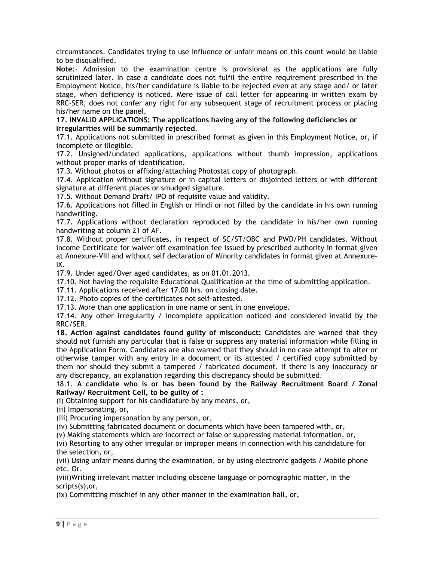circumstances. Candidates trying to use influence or unfair means on this count would be liable to be disqualified.

**Note**:- Admission to the examination centre is provisional as the applications are fully scrutinized later. In case a candidate does not fulfil the entire requirement prescribed in the Employment Notice, his/her candidature is liable to be rejected even at any stage and/ or later stage, when deficiency is noticed. Mere issue of call letter for appearing in written exam by RRC-SER, does not confer any right for any subsequent stage of recruitment process or placing his/her name on the panel.

**17. INVALID APPLICATIONS: The applications having any of the following deficiencies or Irregularities will be summarily rejected**.

17.1. Applications not submitted in prescribed format as given in this Employment Notice, or, if incomplete or illegible.

17.2. Unsigned/undated applications, applications without thumb impression, applications without proper marks of identification.

17.3. Without photos or affixing/attaching Photostat copy of photograph.

17.4. Application without signature or in capital letters or disjointed letters or with different signature at different places or smudged signature.

17.5. Without Demand Draft/ IPO of requisite value and validity.

17.6. Applications not filled in English or Hindi or not filled by the candidate in his own running handwriting.

17.7. Applications without declaration reproduced by the candidate in his/her own running handwriting at column 21 of AF.

17.8. Without proper certificates, in respect of SC/ST/OBC and PWD/PH candidates. Without income Certificate for waiver off examination fee issued by prescribed authority in format given at Annexure-VIII and without self declaration of Minority candidates in format given at Annexure-IX.

17.9. Under aged/Over aged candidates, as on 01.01.2013.

17.10. Not having the requisite Educational Qualification at the time of submitting application.

17.11. Applications received after 17.00 hrs. on closing date.

17.12. Photo copies of the certificates not self-attested.

17.13. More than one application in one name or sent in one envelope.

17.14. Any other irregularity / incomplete application noticed and considered invalid by the RRC/SER.

**18. Action against candidates found guilty of misconduct:** Candidates are warned that they should not furnish any particular that is false or suppress any material information while filling in the Application Form. Candidates are also warned that they should in no case attempt to alter or otherwise tamper with any entry in a document or its attested / certified copy submitted by them nor should they submit a tampered / fabricated document. If there is any inaccuracy or any discrepancy, an explanation regarding this discrepancy should be submitted.

18.1. **A candidate who is or has been found by the Railway Recruitment Board / Zonal Railway/ Recruitment Cell, to be guilty of :** 

(i) Obtaining support for his candidature by any means, or,

(ii) Impersonating, or,

(iii) Procuring impersonation by any person, or,

(iv) Submitting fabricated document or documents which have been tampered with, or,

(v) Making statements which are incorrect or false or suppressing material information, or,

(vi) Resorting to any other irregular or improper means in connection with his candidature for the selection, or,

(vii) Using unfair means during the examination, or by using electronic gadgets / Mobile phone etc. Or.

(viii)Writing irrelevant matter including obscene language or pornographic matter, in the scripts(s),or,

(ix) Committing mischief in any other manner in the examination hall, or,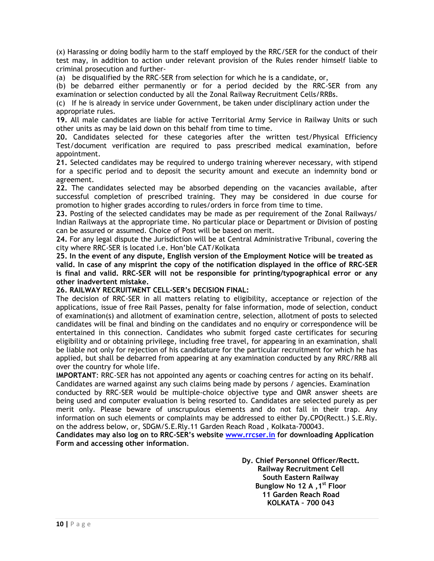(x) Harassing or doing bodily harm to the staff employed by the RRC/SER for the conduct of their test may, in addition to action under relevant provision of the Rules render himself liable to criminal prosecution and further-

(a) be disqualified by the RRC-SER from selection for which he is a candidate, or,

(b) be debarred either permanently or for a period decided by the RRC-SER from any examination or selection conducted by all the Zonal Railway Recruitment Cells/RRBs.

(c) If he is already in service under Government, be taken under disciplinary action under the appropriate rules.

**19.** All male candidates are liable for active Territorial Army Service in Railway Units or such other units as may be laid down on this behalf from time to time.

**20.** Candidates selected for these categories after the written test/Physical Efficiency Test/document verification are required to pass prescribed medical examination, before appointment.

**21.** Selected candidates may be required to undergo training wherever necessary, with stipend for a specific period and to deposit the security amount and execute an indemnity bond or agreement.

**22.** The candidates selected may be absorbed depending on the vacancies available, after successful completion of prescribed training. They may be considered in due course for promotion to higher grades according to rules/orders in force from time to time.

**23.** Posting of the selected candidates may be made as per requirement of the Zonal Railways/ Indian Railways at the appropriate time. No particular place or Department or Division of posting can be assured or assumed. Choice of Post will be based on merit.

**24.** For any legal dispute the Jurisdiction will be at Central Administrative Tribunal, covering the city where RRC-SER is located i.e. Hon'ble CAT/Kolkata

**25. In the event of any dispute, English version of the Employment Notice will be treated as valid. In case of any misprint the copy of the notification displayed in the office of RRC-SER is final and valid. RRC-SER will not be responsible for printing/typographical error or any other inadvertent mistake.** 

## **26. RAILWAY RECRUITMENT CELL-SER's DECISION FINAL:**

The decision of RRC-SER in all matters relating to eligibility, acceptance or rejection of the applications, issue of free Rail Passes, penalty for false information, mode of selection, conduct of examination(s) and allotment of examination centre, selection, allotment of posts to selected candidates will be final and binding on the candidates and no enquiry or correspondence will be entertained in this connection. Candidates who submit forged caste certificates for securing eligibility and or obtaining privilege, including free travel, for appearing in an examination, shall be liable not only for rejection of his candidature for the particular recruitment for which he has applied, but shall be debarred from appearing at any examination conducted by any RRC/RRB all over the country for whole life.

**IMPORTANT**: RRC-SER has not appointed any agents or coaching centres for acting on its behalf. Candidates are warned against any such claims being made by persons / agencies. Examination

conducted by RRC-SER would be multiple-choice objective type and OMR answer sheets are being used and computer evaluation is being resorted to. Candidates are selected purely as per merit only. Please beware of unscrupulous elements and do not fall in their trap. Any information on such elements or complaints may be addressed to either Dy.CPO(Rectt.) S.E.Rly. on the address below, or, SDGM/S.E.Rly.11 Garden Reach Road , Kolkata-700043.

**Candidates may also log on to RRC-SER's website www.rrcser.in for downloading Application Form and accessing other information**.

> **Dy. Chief Personnel Officer/Rectt. Railway Recruitment Cell South Eastern Railway Bunglow No 12 A ,1st Floor 11 Garden Reach Road KOLKATA – 700 043**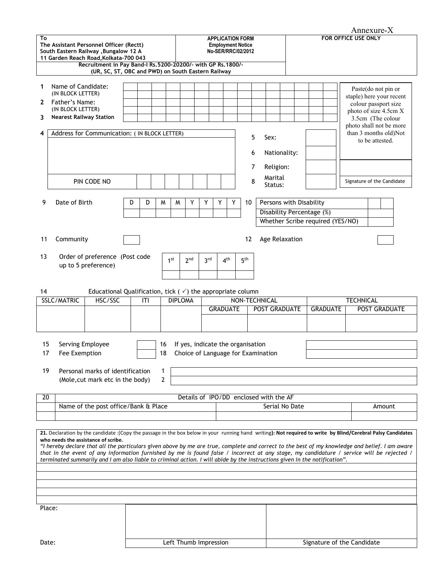|       |                                                                                        |                                                                                                                                                                                                                                                                                             |  |                       |              |                 |                                      |                 |                            |                 |                                                                           |                            |                                                          |  |  |  |                 |  |                                                  | Annexure-X           |  |  |
|-------|----------------------------------------------------------------------------------------|---------------------------------------------------------------------------------------------------------------------------------------------------------------------------------------------------------------------------------------------------------------------------------------------|--|-----------------------|--------------|-----------------|--------------------------------------|-----------------|----------------------------|-----------------|---------------------------------------------------------------------------|----------------------------|----------------------------------------------------------|--|--|--|-----------------|--|--------------------------------------------------|----------------------|--|--|
| To    |                                                                                        | The Assistant Personnel Officer (Rectt)<br>South Eastern Railway , Bungalow 12 A                                                                                                                                                                                                            |  |                       |              |                 |                                      |                 |                            |                 | <b>APPLICATION FORM</b><br><b>Employment Notice</b><br>No-SER/RRC/02/2012 |                            |                                                          |  |  |  |                 |  | <b>FOR OFFICE USE ONLY</b>                       |                      |  |  |
|       |                                                                                        | 11 Garden Reach Road, Kolkata-700 043<br>Recruitment in Pay Band-I Rs. 5200-20200/- with GP Rs. 1800/-                                                                                                                                                                                      |  |                       |              |                 |                                      |                 |                            |                 |                                                                           |                            |                                                          |  |  |  |                 |  |                                                  |                      |  |  |
|       |                                                                                        | (UR, SC, ST, OBC and PWD) on South Eastern Railway                                                                                                                                                                                                                                          |  |                       |              |                 |                                      |                 |                            |                 |                                                                           |                            |                                                          |  |  |  |                 |  |                                                  |                      |  |  |
| 1     | Name of Candidate:<br>(IN BLOCK LETTER)                                                |                                                                                                                                                                                                                                                                                             |  |                       |              |                 |                                      |                 |                            |                 |                                                                           |                            |                                                          |  |  |  |                 |  | Paste(do not pin or<br>staple) here your recent  |                      |  |  |
| 2     | Father's Name:<br>(IN BLOCK LETTER)                                                    |                                                                                                                                                                                                                                                                                             |  |                       |              |                 |                                      |                 |                            |                 |                                                                           |                            |                                                          |  |  |  |                 |  |                                                  | colour passport size |  |  |
| 3     | <b>Nearest Railway Station</b>                                                         |                                                                                                                                                                                                                                                                                             |  |                       |              |                 |                                      |                 |                            |                 |                                                                           |                            |                                                          |  |  |  |                 |  | photo of size 4.5cm X                            | 3.5cm (The colour    |  |  |
| 4     |                                                                                        | Address for Communication: ( IN BLOCK LETTER)                                                                                                                                                                                                                                               |  |                       |              |                 |                                      |                 |                            |                 |                                                                           |                            |                                                          |  |  |  |                 |  | photo shall not be more<br>than 3 months old)Not |                      |  |  |
|       |                                                                                        |                                                                                                                                                                                                                                                                                             |  |                       |              |                 |                                      |                 |                            |                 |                                                                           | 5                          | Sex:                                                     |  |  |  |                 |  |                                                  | to be attested.      |  |  |
|       |                                                                                        |                                                                                                                                                                                                                                                                                             |  |                       |              |                 |                                      |                 |                            |                 |                                                                           | 6                          | Nationality:                                             |  |  |  |                 |  |                                                  |                      |  |  |
|       |                                                                                        |                                                                                                                                                                                                                                                                                             |  |                       |              |                 | 7                                    |                 |                            |                 |                                                                           | Religion:                  |                                                          |  |  |  |                 |  |                                                  |                      |  |  |
|       |                                                                                        | Marital<br>8<br>PIN CODE NO<br>Status:                                                                                                                                                                                                                                                      |  |                       |              |                 |                                      |                 |                            |                 |                                                                           | Signature of the Candidate |                                                          |  |  |  |                 |  |                                                  |                      |  |  |
|       |                                                                                        |                                                                                                                                                                                                                                                                                             |  |                       |              |                 |                                      |                 |                            |                 |                                                                           |                            |                                                          |  |  |  |                 |  |                                                  |                      |  |  |
| 9     | Persons with Disability<br>Date of Birth<br>Y<br>D<br>D<br>M<br>Y<br>Y<br>Y<br>10<br>M |                                                                                                                                                                                                                                                                                             |  |                       |              |                 |                                      |                 |                            |                 |                                                                           |                            |                                                          |  |  |  |                 |  |                                                  |                      |  |  |
|       | Disability Percentage (%)<br>Whether Scribe required (YES/NO)                          |                                                                                                                                                                                                                                                                                             |  |                       |              |                 |                                      |                 |                            |                 |                                                                           |                            |                                                          |  |  |  |                 |  |                                                  |                      |  |  |
|       |                                                                                        |                                                                                                                                                                                                                                                                                             |  |                       |              |                 |                                      |                 |                            |                 |                                                                           |                            |                                                          |  |  |  |                 |  |                                                  |                      |  |  |
| 11    | Community                                                                              |                                                                                                                                                                                                                                                                                             |  |                       |              |                 |                                      |                 |                            |                 | 12                                                                        |                            | Age Relaxation                                           |  |  |  |                 |  |                                                  |                      |  |  |
| 13    |                                                                                        | Order of preference (Post code                                                                                                                                                                                                                                                              |  |                       |              | 1 <sup>st</sup> | 2 <sup>nd</sup>                      | 3 <sup>rd</sup> |                            | 4 <sup>th</sup> | 5 <sup>th</sup>                                                           |                            |                                                          |  |  |  |                 |  |                                                  |                      |  |  |
|       |                                                                                        | up to 5 preference)                                                                                                                                                                                                                                                                         |  |                       |              |                 |                                      |                 |                            |                 |                                                                           |                            |                                                          |  |  |  |                 |  |                                                  |                      |  |  |
|       |                                                                                        |                                                                                                                                                                                                                                                                                             |  |                       |              |                 |                                      |                 |                            |                 |                                                                           |                            |                                                          |  |  |  |                 |  |                                                  |                      |  |  |
| 14    |                                                                                        | Educational Qualification, tick ( $\checkmark$ ) the appropriate column                                                                                                                                                                                                                     |  |                       |              |                 |                                      |                 |                            |                 |                                                                           |                            |                                                          |  |  |  |                 |  |                                                  |                      |  |  |
|       | <b>SSLC/MATRIC</b>                                                                     | HSC/SSC                                                                                                                                                                                                                                                                                     |  | ITI                   |              | <b>DIPLOMA</b>  |                                      |                 |                            | <b>GRADUATE</b> |                                                                           |                            | NON-TECHNICAL<br><b>POST GRADUATE</b>                    |  |  |  | <b>GRADUATE</b> |  | <b>TECHNICAL</b>                                 | <b>POST GRADUATE</b> |  |  |
|       |                                                                                        |                                                                                                                                                                                                                                                                                             |  |                       |              |                 |                                      |                 |                            |                 |                                                                           |                            |                                                          |  |  |  |                 |  |                                                  |                      |  |  |
|       |                                                                                        |                                                                                                                                                                                                                                                                                             |  |                       |              |                 |                                      |                 |                            |                 |                                                                           |                            |                                                          |  |  |  |                 |  |                                                  |                      |  |  |
| 15    | Serving Employee                                                                       |                                                                                                                                                                                                                                                                                             |  |                       |              |                 | 16 If yes, indicate the organisation |                 |                            |                 |                                                                           |                            |                                                          |  |  |  |                 |  |                                                  |                      |  |  |
| 17    | Fee Exemption                                                                          |                                                                                                                                                                                                                                                                                             |  |                       | 18           |                 |                                      |                 |                            |                 |                                                                           |                            | Choice of Language for Examination                       |  |  |  |                 |  |                                                  |                      |  |  |
| 19    |                                                                                        | Personal marks of identification                                                                                                                                                                                                                                                            |  |                       | 1            |                 |                                      |                 |                            |                 |                                                                           |                            |                                                          |  |  |  |                 |  |                                                  |                      |  |  |
|       |                                                                                        | (Mole, cut mark etc in the body)                                                                                                                                                                                                                                                            |  |                       | $\mathbf{2}$ |                 |                                      |                 |                            |                 |                                                                           |                            |                                                          |  |  |  |                 |  |                                                  |                      |  |  |
|       |                                                                                        |                                                                                                                                                                                                                                                                                             |  |                       |              |                 |                                      |                 |                            |                 |                                                                           |                            |                                                          |  |  |  |                 |  |                                                  |                      |  |  |
| 20    |                                                                                        | Name of the post office/Bank & Place                                                                                                                                                                                                                                                        |  |                       |              |                 |                                      |                 |                            |                 |                                                                           |                            | Details of IPO/DD enclosed with the AF<br>Serial No Date |  |  |  |                 |  |                                                  | Amount               |  |  |
|       |                                                                                        |                                                                                                                                                                                                                                                                                             |  |                       |              |                 |                                      |                 |                            |                 |                                                                           |                            |                                                          |  |  |  |                 |  |                                                  |                      |  |  |
|       |                                                                                        |                                                                                                                                                                                                                                                                                             |  |                       |              |                 |                                      |                 |                            |                 |                                                                           |                            |                                                          |  |  |  |                 |  |                                                  |                      |  |  |
|       |                                                                                        | 21. Declaration by the candidate: (Copy the passage in the box below in your running hand writing): Not required to write by Blind/Cerebral Palsy Candidates<br>who needs the assistance of scribe.                                                                                         |  |                       |              |                 |                                      |                 |                            |                 |                                                                           |                            |                                                          |  |  |  |                 |  |                                                  |                      |  |  |
|       |                                                                                        | "I hereby declare that all the particulars given above by me are true, complete and correct to the best of my knowledge and belief. I am aware<br>that in the event of any information furnished by me is found false / incorrect at any stage, my candidature / service will be rejected / |  |                       |              |                 |                                      |                 |                            |                 |                                                                           |                            |                                                          |  |  |  |                 |  |                                                  |                      |  |  |
|       |                                                                                        | terminated summarily and I am also liable to criminal action. I will abide by the instructions given in the notification".                                                                                                                                                                  |  |                       |              |                 |                                      |                 |                            |                 |                                                                           |                            |                                                          |  |  |  |                 |  |                                                  |                      |  |  |
|       |                                                                                        |                                                                                                                                                                                                                                                                                             |  |                       |              |                 |                                      |                 |                            |                 |                                                                           |                            |                                                          |  |  |  |                 |  |                                                  |                      |  |  |
|       |                                                                                        |                                                                                                                                                                                                                                                                                             |  |                       |              |                 |                                      |                 |                            |                 |                                                                           |                            |                                                          |  |  |  |                 |  |                                                  |                      |  |  |
|       |                                                                                        |                                                                                                                                                                                                                                                                                             |  |                       |              |                 |                                      |                 |                            |                 |                                                                           |                            |                                                          |  |  |  |                 |  |                                                  |                      |  |  |
|       | Place:                                                                                 |                                                                                                                                                                                                                                                                                             |  |                       |              |                 |                                      |                 |                            |                 |                                                                           |                            |                                                          |  |  |  |                 |  |                                                  |                      |  |  |
|       |                                                                                        |                                                                                                                                                                                                                                                                                             |  |                       |              |                 |                                      |                 |                            |                 |                                                                           |                            |                                                          |  |  |  |                 |  |                                                  |                      |  |  |
|       |                                                                                        |                                                                                                                                                                                                                                                                                             |  |                       |              |                 |                                      |                 |                            |                 |                                                                           |                            |                                                          |  |  |  |                 |  |                                                  |                      |  |  |
| Date: |                                                                                        |                                                                                                                                                                                                                                                                                             |  | Left Thumb Impression |              |                 |                                      |                 | Signature of the Candidate |                 |                                                                           |                            |                                                          |  |  |  |                 |  |                                                  |                      |  |  |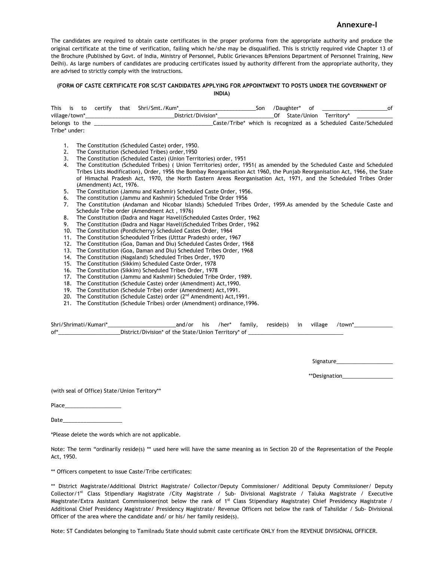### **Annexure-I**

The candidates are required to obtain caste certificates in the proper proforma from the appropriate authority and produce the original certificate at the time of verification, failing which he/she may be disqualified. This is strictly required vide Chapter 13 of the Brochure (Published by Govt. of India, Ministry of Personnel, Public Grievances &Pensions Department of Personnel Training, New Delhi). As large numbers of candidates are producing certificates issued by authority different from the appropriate authority, they are advised to strictly comply with the instructions.

#### **(FORM OF CASTE CERTIFICATE FOR SC/ST CANDIDATES APPLYING FOR APPOINTMENT TO POSTS UNDER THE GOVERNMENT OF INDIA)**

|                |  | This is to certify | that Shri/Smt./Kum* | Son |  | /Daughter* | of |                           | 0t                                                              |
|----------------|--|--------------------|---------------------|-----|--|------------|----|---------------------------|-----------------------------------------------------------------|
| village/town*  |  |                    | District/Division*  |     |  |            |    | Of State/Union Territory* |                                                                 |
| belongs to the |  |                    |                     |     |  |            |    |                           | Caste/Tribe* which is recognized as a Scheduled Caste/Scheduled |
| Tribe* under:  |  |                    |                     |     |  |            |    |                           |                                                                 |

- 1. The Constitution (Scheduled Caste) order, 1950.
- 2. The Constitution (Scheduled Tribes) order, 1950
- 3. The Constitution (Scheduled Caste) (Union Territories) order, 1951
- 4. The Constitution (Scheduled Tribes) ( Union Territories) order, 1951( as amended by the Scheduled Caste and Scheduled Tribes Lists Modification), Order, 1956 the Bombay Reorganisation Act 1960, the Punjab Reorganisation Act, 1966, the State of Himachal Pradesh Act, 1970, the North Eastern Areas Reorganisation Act, 1971, and the Scheduled Tribes Order (Amendment) Act, 1976.
- 5. The Constitution (Jammu and Kashmir) Scheduled Caste Order, 1956.
- 6. The constitution (Jammu and Kashmir) Scheduled Tribe Order 1956
- 7. The Constitution (Andaman and Nicobar Islands) Scheduled Tribes Order, 1959.As amended by the Schedule Caste and Schedule Tribe order (Amendment Act , 1976)
- 8. The Constitution (Dadra and Nagar Haveli)Scheduled Castes Order, 1962
- The Constitution (Dadra and Nagar Haveli)Scheduled Tribes Order, 1962
- 10. The Constitution (Pondicherry) Scheduled Castes Order, 1964
- 11. The Constitution Scheoduled Tribes (Utttar Pradesh) order, 1967
- 12. The Constitution (Goa, Daman and Diu) Scheduled Castes Order, 1968
- 13. The Constitution (Goa, Daman and Diu) Scheduled Tribes Order, 1968
- 14. The Constitution (Nagaland) Scheduled Tribes Order, 1970
- 15. The Constitution (Sikkim) Scheduled Caste Order, 1978
- 16. The Constitution (Sikkim) Scheduled Tribes Order, 1978
- 17. The Constitution (Jammu and Kashmir) Scheduled Tribe Order, 1989.
- 18. The Constitution (Schedule Caste) order (Amendment) Act,1990.
- 19. The Constitution (Schedule Tribe) order (Amendment) Act,1991.
- 20. The Constitution (Schedule Caste) order  $(2^{nd}$  Amendment) Act, 1991.
- 21. The Constitution (Schedule Tribes) order (Amendment) ordinance,1996.

| Shri/Shrimati/Kumari* |                                                     | and/or | his /her* | family, reside(s) in | village /town* |  |
|-----------------------|-----------------------------------------------------|--------|-----------|----------------------|----------------|--|
| of*                   | District/Division* of the State/Union Territory* of |        |           |                      |                |  |
|                       |                                                     |        |           |                      |                |  |

Signature\_

\*\*Designation\_\_\_\_\_\_\_\_\_\_\_\_\_\_\_\_\_

(with seal of Office) State/Union Teritory\*\*

Place

Date\_\_\_\_\_\_\_\_\_\_\_\_\_\_\_\_\_\_\_\_

\*Please delete the words which are not applicable.

Note: The term "ordinarily reside(s) \*\* used here will have the same meaning as in Section 20 of the Representation of the People Act, 1950.

\*\* Officers competent to issue Caste/Tribe certificates:

\*\* District Magistrate/Additional District Magistrate/ Collector/Deputy Commissioner/ Additional Deputy Commissioner/ Deputy Collector/1st Class Stipendiary Magistrate /City Magistrate / Sub- Divisional Magistrate / Taluka Magistrate / Executive Magistrate/Extra Assistant Commissioner(not below the rank of  $1<sup>st</sup>$  Class Stipendiary Magistrate) Chief Presidency Magistrate / Additional Chief Presidency Magistrate/ Presidency Magistrate/ Revenue Officers not below the rank of Tahsildar / Sub- Divisional Officer of the area where the candidate and/ or his/ her family reside(s).

Note: ST Candidates belonging to Tamilnadu State should submit caste certificate ONLY from the REVENUE DIVISIONAL OFFICER.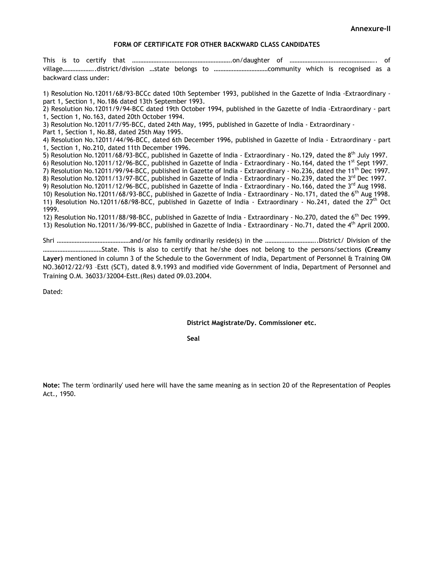#### **FORM OF CERTIFICATE FOR OTHER BACKWARD CLASS CANDIDATES**

This is to certify that …………………………………………………….on/daughter of …………………………………………….. of village………………..district/division …state belongs to ……………………………community which is recognised as a backward class under:

1) Resolution No.12011/68/93-BCCc dated 10th September 1993, published in the Gazette of India -Extraordinary part 1, Section 1, No.186 dated 13th September 1993.

2) Resolution No.12011/9/94-BCC dated 19th October 1994, published in the Gazette of India -Extraordinary - part 1, Section 1, No.163, dated 20th October 1994.

3) Resolution No.12011/7/95-BCC, dated 24th May, 1995, published in Gazette of India - Extraordinary -

Part 1, Section 1, No.88, dated 25th May 1995.

4) Resolution No.12011/44/96-BCC, dated 6th December 1996, published in Gazette of India - Extraordinary - part 1, Section 1, No.210, dated 11th December 1996.

5) Resolution No.12011/68/93-BCC, published in Gazette of India - Extraordinary - No.129, dated the 8<sup>th</sup> July 1997.

6) Resolution No.12011/12/96-BCC, published in Gazette of India - Extraordinary - No.164, dated the 1<sup>st</sup> Sept 1997.

7) Resolution No.12011/99/94-BCC, published in Gazette of India - Extraordinary - No.236, dated the 11<sup>th</sup> Dec 1997.

8) Resolution No.12011/13/97-BCC, published in Gazette of India - Extraordinary - No.239, dated the 3rd Dec 1997.

9) Resolution No.12011/12/96-BCC, published in Gazette of India - Extraordinary - No.166, dated the 3<sup>rd</sup> Aug 1998.

10) Resolution No.12011/68/93-BCC, published in Gazette of India - Extraordinary - No.171, dated the 6<sup>th</sup> Aug 1998. 11) Resolution No.12011/68/98-BCC, published in Gazette of India - Extraordinary - No.241, dated the  $27<sup>th</sup>$  Oct 1999.

12) Resolution No.12011/88/98-BCC, published in Gazette of India - Extraordinary - No.270, dated the 6<sup>th</sup> Dec 1999. 13) Resolution No.12011/36/99-BCC, published in Gazette of India - Extraordinary - No.71, dated the 4<sup>th</sup> April 2000.

Shri ………………………………………and/or his family ordinarily reside(s) in the …………………………..District/ Division of the ………………………………State. This is also to certify that he/she does not belong to the persons/sections **(Creamy Layer)** mentioned in column 3 of the Schedule to the Government of India, Department of Personnel & Training OM NO.36012/22/93 –Estt (SCT), dated 8.9.1993 and modified vide Government of India, Department of Personnel and Training O.M. 36033/32004-Estt.(Res) dated 09.03.2004.

Dated:

**District Magistrate/Dy. Commissioner etc.** 

**Seal** 

**Note:** The term 'ordinarily' used here will have the same meaning as in section 20 of the Representation of Peoples Act., 1950.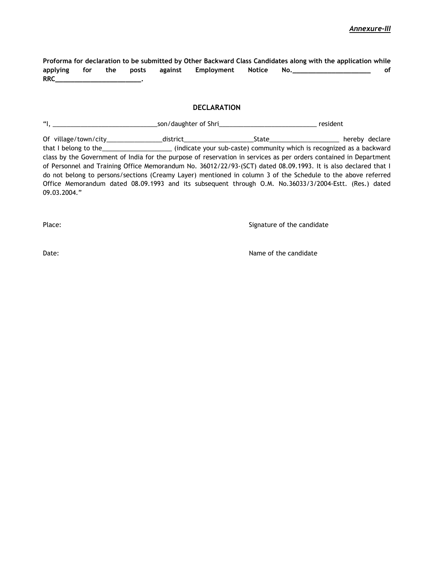**Proforma for declaration to be submitted by Other Backward Class Candidates along with the application while applying for the posts against Employment Notice No.\_\_\_\_\_\_\_\_\_\_\_\_\_\_\_\_\_\_\_\_ of RRC\_\_\_\_\_\_\_\_\_\_\_\_\_\_\_\_\_\_\_\_\_\_.** 

### **DECLARATION**

"I, \_\_\_\_\_\_\_\_\_\_\_\_\_\_\_\_\_\_\_\_\_\_\_\_\_\_\_\_\_\_son/daughter of Shri\_\_\_\_\_\_\_\_\_\_\_\_\_\_\_\_\_\_\_\_\_\_\_\_\_\_\_\_ resident Of village/town/city\_\_\_\_\_\_\_\_\_\_\_\_\_\_\_\_district\_\_\_\_\_\_\_\_\_\_\_\_\_\_\_\_\_\_\_\_State\_\_\_\_\_\_\_\_\_\_\_\_\_\_\_\_\_\_\_\_ hereby declare that I belong to the\_\_\_\_\_\_\_\_\_\_\_\_\_\_\_\_\_\_\_\_ (indicate your sub-caste) community which is recognized as a backward class by the Government of India for the purpose of reservation in services as per orders contained in Department of Personnel and Training Office Memorandum No. 36012/22/93-(SCT) dated 08.09.1993. It is also declared that I do not belong to persons/sections (Creamy Layer) mentioned in column 3 of the Schedule to the above referred Office Memorandum dated 08.09.1993 and its subsequent through O.M. No.36033/3/2004-Estt. (Res.) dated 09.03.2004."

Place: Signature of the candidate number of the candidate states of the candidate number of the candidate number of the candidate number of the candidate number of the candidate number of the candidate number of the candid

Date: Name of the candidate  $\blacksquare$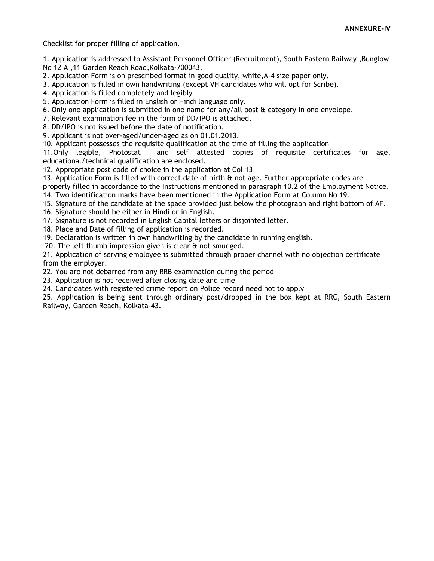Checklist for proper filling of application.

1. Application is addressed to Assistant Personnel Officer (Recruitment), South Eastern Railway ,Bunglow No 12 A ,11 Garden Reach Road,Kolkata-700043.

2. Application Form is on prescribed format in good quality, white,A-4 size paper only.

3. Application is filled in own handwriting (except VH candidates who will opt for Scribe).

4. Application is filled completely and legibly

5. Application Form is filled in English or Hindi language only.

6. Only one application is submitted in one name for any/all post & category in one envelope.

7. Relevant examination fee in the form of DD/IPO is attached.

8. DD/IPO is not issued before the date of notification.

9. Applicant is not over-aged/under-aged as on 01.01.2013.

10. Applicant possesses the requisite qualification at the time of filling the application

11.Only legible, Photostat and self attested copies of requisite certificates for age, educational/technical qualification are enclosed.

12. Appropriate post code of choice in the application at Col 13

13. Application Form is filled with correct date of birth & not age. Further appropriate codes are

properly filled in accordance to the Instructions mentioned in paragraph 10.2 of the Employment Notice.

14. Two identification marks have been mentioned in the Application Form at Column No 19.

- 15. Signature of the candidate at the space provided just below the photograph and right bottom of AF.
- 16. Signature should be either in Hindi or in English.

17. Signature is not recorded in English Capital letters or disjointed letter.

18. Place and Date of filling of application is recorded.

19. Declaration is written in own handwriting by the candidate in running english.

20. The left thumb impression given is clear & not smudged.

21. Application of serving employee is submitted through proper channel with no objection certificate from the employer.

22. You are not debarred from any RRB examination during the period

23. Application is not received after closing date and time

24. Candidates with registered crime report on Police record need not to apply

25. Application is being sent through ordinary post/dropped in the box kept at RRC, South Eastern Railway, Garden Reach, Kolkata-43.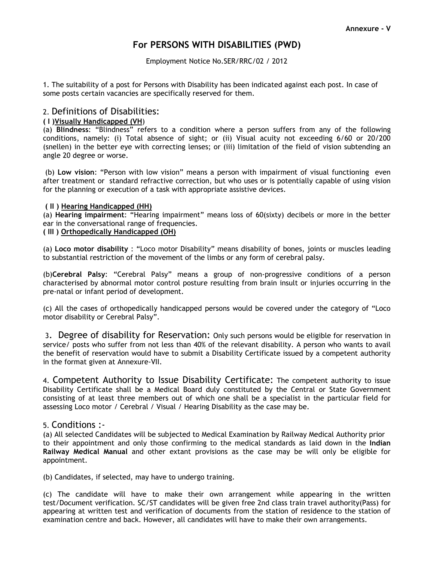# **For PERSONS WITH DISABILITIES (PWD)**

Employment Notice No.SER/RRC/02 / 2012

1. The suitability of a post for Persons with Disability has been indicated against each post. In case of some posts certain vacancies are specifically reserved for them.

## 2. Definitions of Disabilities:

## **( I )Visually Handicapped (VH**)

(a) **Blindness**: "Blindness" refers to a condition where a person suffers from any of the following conditions, namely: (i) Total absence of sight; or (ii) Visual acuity not exceeding 6/60 or 20/200 (snellen) in the better eye with correcting lenses; or (iii) limitation of the field of vision subtending an angle 20 degree or worse.

 (b) **Low vision**: "Person with low vision" means a person with impairment of visual functioning even after treatment or standard refractive correction, but who uses or is potentially capable of using vision for the planning or execution of a task with appropriate assistive devices.

## **( II ) Hearing Handicapped (HH)**

(a) **Hearing impairment**: "Hearing impairment" means loss of 60(sixty) decibels or more in the better ear in the conversational range of frequencies.

## **( III ) Orthopedically Handicapped (OH)**

(a) **Loco motor disability** : "Loco motor Disability" means disability of bones, joints or muscles leading to substantial restriction of the movement of the limbs or any form of cerebral palsy.

(b)**Cerebral Palsy**: "Cerebral Palsy" means a group of non-progressive conditions of a person characterised by abnormal motor control posture resulting from brain insult or injuries occurring in the pre-natal or infant period of development.

(c) All the cases of orthopedically handicapped persons would be covered under the category of "Loco motor disability or Cerebral Palsy".

 3. Degree of disability for Reservation: Only such persons would be eligible for reservation in service/ posts who suffer from not less than 40% of the relevant disability. A person who wants to avail the benefit of reservation would have to submit a Disability Certificate issued by a competent authority in the format given at Annexure-VII.

4. Competent Authority to Issue Disability Certificate: The competent authority to issue Disability Certificate shall be a Medical Board duly constituted by the Central or State Government consisting of at least three members out of which one shall be a specialist in the particular field for assessing Loco motor / Cerebral / Visual / Hearing Disability as the case may be.

## 5. Conditions :-

(a) All selected Candidates will be subjected to Medical Examination by Railway Medical Authority prior to their appointment and only those confirming to the medical standards as laid down in the **Indian Railway Medical Manual** and other extant provisions as the case may be will only be eligible for appointment.

(b) Candidates, if selected, may have to undergo training.

(c) The candidate will have to make their own arrangement while appearing in the written test/Document verification. SC/ST candidates will be given free 2nd class train travel authority(Pass) for appearing at written test and verification of documents from the station of residence to the station of examination centre and back. However, all candidates will have to make their own arrangements.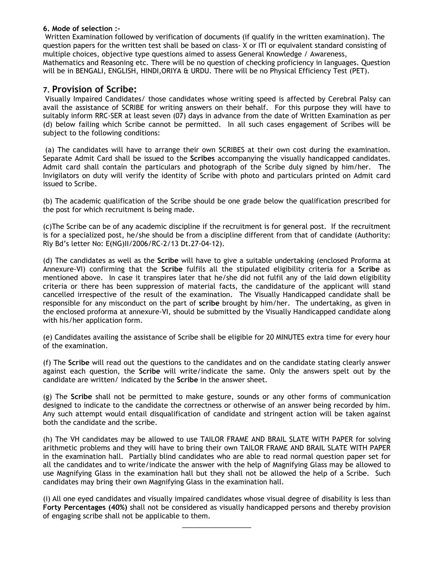## **6. Mode of selection :-**

 Written Examination followed by verification of documents (if qualify in the written examination). The question papers for the written test shall be based on class- X or ITI or equivalent standard consisting of multiple choices, objective type questions aimed to assess General Knowledge / Awareness, Mathematics and Reasoning etc. There will be no question of checking proficiency in languages. Question will be in BENGALI, ENGLISH, HINDI,ORIYA & URDU. There will be no Physical Efficiency Test (PET).

## **7. Provision of Scribe:**

 Visually Impaired Candidates/ those candidates whose writing speed is affected by Cerebral Palsy can avail the assistance of SCRIBE for writing answers on their behalf. For this purpose they will have to suitably inform RRC-SER at least seven (07) days in advance from the date of Written Examination as per (d) below failing which Scribe cannot be permitted. In all such cases engagement of Scribes will be subject to the following conditions:

 (a) The candidates will have to arrange their own SCRIBES at their own cost during the examination. Separate Admit Card shall be issued to the **Scribes** accompanying the visually handicapped candidates. Admit card shall contain the particulars and photograph of the Scribe duly signed by him/her. The Invigilators on duty will verify the identity of Scribe with photo and particulars printed on Admit card issued to Scribe.

(b) The academic qualification of the Scribe should be one grade below the qualification prescribed for the post for which recruitment is being made.

(c)The Scribe can be of any academic discipline if the recruitment is for general post. If the recruitment is for a specialized post, he/she should be from a discipline different from that of candidate (Authority: Rly Bd's letter No: E(NG)II/2006/RC-2/13 Dt.27-04-12).

(d) The candidates as well as the **Scribe** will have to give a suitable undertaking (enclosed Proforma at Annexure-VI) confirming that the **Scribe** fulfils all the stipulated eligibility criteria for a **Scribe** as mentioned above. In case it transpires later that he/she did not fulfil any of the laid down eligibility criteria or there has been suppression of material facts, the candidature of the applicant will stand cancelled irrespective of the result of the examination. The Visually Handicapped candidate shall be responsible for any misconduct on the part of **scribe** brought by him/her. The undertaking, as given in the enclosed proforma at annexure-VI, should be submitted by the Visually Handicapped candidate along with his/her application form.

(e) Candidates availing the assistance of Scribe shall be eligible for 20 MINUTES extra time for every hour of the examination.

(f) The **Scribe** will read out the questions to the candidates and on the candidate stating clearly answer against each question, the **Scribe** will write/indicate the same. Only the answers spelt out by the candidate are written/ indicated by the **Scribe** in the answer sheet.

(g) The **Scribe** shall not be permitted to make gesture, sounds or any other forms of communication designed to indicate to the candidate the correctness or otherwise of an answer being recorded by him. Any such attempt would entail disqualification of candidate and stringent action will be taken against both the candidate and the scribe.

(h) The VH candidates may be allowed to use TAILOR FRAME AND BRAIL SLATE WITH PAPER for solving arithmetic problems and they will have to bring their own TAILOR FRAME AND BRAIL SLATE WITH PAPER in the examination hall. Partially blind candidates who are able to read normal question paper set for all the candidates and to write/indicate the answer with the help of Magnifying Glass may be allowed to use Magnifying Glass in the examination hall but they shall not be allowed the help of a Scribe. Such candidates may bring their own Magnifying Glass in the examination hall.

(i) All one eyed candidates and visually impaired candidates whose visual degree of disability is less than **Forty Percentages (40%)** shall not be considered as visually handicapped persons and thereby provision of engaging scribe shall not be applicable to them.

 $\overline{\phantom{a}}$  , and the set of the set of the set of the set of the set of the set of the set of the set of the set of the set of the set of the set of the set of the set of the set of the set of the set of the set of the s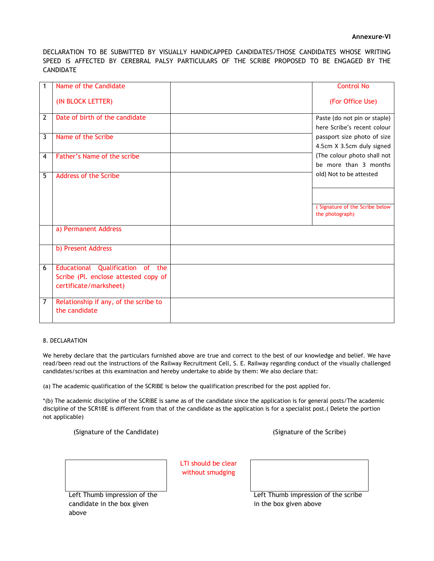DECLARATION TO BE SUBMITTED BY VISUALLY HANDICAPPED CANDIDATES/THOSE CANDIDATES WHOSE WRITING SPEED IS AFFECTED BY CEREBRAL PALSY PARTICULARS OF THE SCRIBE PROPOSED TO BE ENGAGED BY THE CANDIDATE

|   | Name of the Candidate                                          | <b>Control No</b>                                           |
|---|----------------------------------------------------------------|-------------------------------------------------------------|
|   | (IN BLOCK LETTER)                                              | (For Office Use)                                            |
| 2 | Date of birth of the candidate                                 | Paste (do not pin or staple)<br>here Scribe's recent colour |
| 3 | Name of the Scribe                                             | passport size photo of size<br>4.5cm X 3.5cm duly signed    |
| 4 | Father's Name of the scribe                                    | (The colour photo shall not<br>be more than 3 months        |
| 5 | <b>Address of the Scribe</b>                                   | old) Not to be attested                                     |
|   |                                                                |                                                             |
|   |                                                                | (Signature of the Scribe below<br>the photograph)           |
|   | a) Permanent Address                                           |                                                             |
|   | b) Present Address                                             |                                                             |
| 6 | Educational Qualification of the                               |                                                             |
|   | Scribe (Pl. enclose attested copy of<br>certificate/marksheet) |                                                             |
| 7 | Relationship if any, of the scribe to<br>the candidate         |                                                             |

#### 8. DECLARATION

We hereby declare that the particulars furnished above are true and correct to the best of our knowledge and belief. We have read/been read out the instructions of the Railway Recruitment Cell, S. E. Railway regarding conduct of the visually challenged candidates/scribes at this examination and hereby undertake to abide by them: We also declare that:

(a) The academic qualification of the SCRIBE is below the qualification prescribed for the post applied for.

\*(b) The academic discipline of the SCRIBE is same as of the candidate since the application is for general posts/The academic discipline of the SCR1BE is different from that of the candidate as the application is for a specialist post.( Delete the portion not applicable)

(Signature of the Candidate)

(Signature of the Scribe)



LTI should be clear without smudging

| i be clear |                                     |  |
|------------|-------------------------------------|--|
| smudging   |                                     |  |
|            |                                     |  |
|            |                                     |  |
|            | Left Thumb impression of the scribe |  |

candidate in the box given above

in the box given above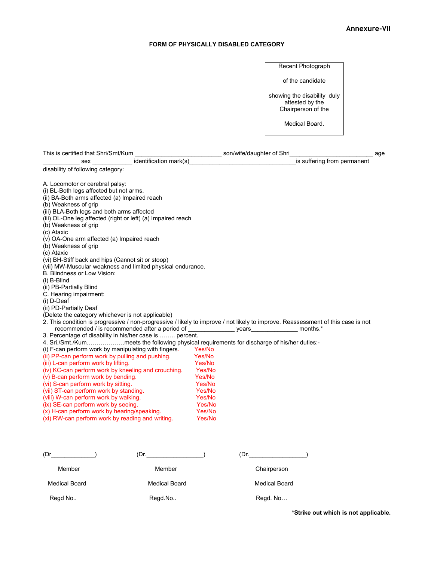## **Annexure-VII**

## **FORM OF PHYSICALLY DISABLED CATEGORY**

|                                                                                                                                                                                                                                |                      |        | Recent Photograph                     |     |
|--------------------------------------------------------------------------------------------------------------------------------------------------------------------------------------------------------------------------------|----------------------|--------|---------------------------------------|-----|
|                                                                                                                                                                                                                                |                      |        | of the candidate                      |     |
|                                                                                                                                                                                                                                |                      |        | showing the disability duly           |     |
|                                                                                                                                                                                                                                |                      |        | attested by the<br>Chairperson of the |     |
|                                                                                                                                                                                                                                |                      |        | Medical Board.                        |     |
|                                                                                                                                                                                                                                |                      |        |                                       |     |
| This is certified that Shri/Smt/Kum _________________________________son/wife/daughter of Shri____________                                                                                                                     |                      |        |                                       | age |
| __________ sex _______________ identification mark(s)___________________________                                                                                                                                               |                      |        | is suffering from permanent           |     |
| disability of following category:                                                                                                                                                                                              |                      |        |                                       |     |
| A. Locomotor or cerebral palsy:                                                                                                                                                                                                |                      |        |                                       |     |
| (i) BL-Both legs affected but not arms.<br>(ii) BA-Both arms affected (a) Impaired reach                                                                                                                                       |                      |        |                                       |     |
| (b) Weakness of grip                                                                                                                                                                                                           |                      |        |                                       |     |
| (iii) BLA-Both legs and both arms affected                                                                                                                                                                                     |                      |        |                                       |     |
| (iii) OL-One leg affected (right or left) (a) Impaired reach                                                                                                                                                                   |                      |        |                                       |     |
| (b) Weakness of grip                                                                                                                                                                                                           |                      |        |                                       |     |
| (c) Ataxic                                                                                                                                                                                                                     |                      |        |                                       |     |
| (v) OA-One arm affected (a) Impaired reach                                                                                                                                                                                     |                      |        |                                       |     |
| (b) Weakness of grip                                                                                                                                                                                                           |                      |        |                                       |     |
| (c) Ataxic<br>(vi) BH-Stiff back and hips (Cannot sit or stoop)                                                                                                                                                                |                      |        |                                       |     |
| (vii) MW-Muscular weakness and limited physical endurance.                                                                                                                                                                     |                      |        |                                       |     |
| B. Blindness or Low Vision:                                                                                                                                                                                                    |                      |        |                                       |     |
| (i) B-Blind                                                                                                                                                                                                                    |                      |        |                                       |     |
| (ii) PB-Partially Blind                                                                                                                                                                                                        |                      |        |                                       |     |
| C. Hearing impairment:                                                                                                                                                                                                         |                      |        |                                       |     |
| (i) D-Deaf                                                                                                                                                                                                                     |                      |        |                                       |     |
| (ii) PD-Partially Deaf                                                                                                                                                                                                         |                      |        |                                       |     |
| (Delete the category whichever is not applicable)                                                                                                                                                                              |                      |        |                                       |     |
| 2. This condition is progressive / non-progressive / likely to improve / not likely to improve. Reassessment of this case is not<br>recommended / is recommended after a period of _______________ years_____________ months.* |                      |        |                                       |     |
| 3. Percentage of disability in his/her case is  percent.                                                                                                                                                                       |                      |        |                                       |     |
| 4. Sri./Smt./Kummeets the following physical requirements for discharge of his/her duties:-                                                                                                                                    |                      |        |                                       |     |
| (i) F-can perform work by manipulating with fingers.                                                                                                                                                                           |                      | Yes/No |                                       |     |
| (ii) PP-can perform work by pulling and pushing.                                                                                                                                                                               |                      | Yes/No |                                       |     |
| (iii) L-can perform work by lifting.                                                                                                                                                                                           |                      | Yes/No |                                       |     |
| (iv) KC-can perform work by kneeling and crouching.                                                                                                                                                                            |                      | Yes/No |                                       |     |
| (v) B-can perform work by bending.                                                                                                                                                                                             |                      | Yes/No |                                       |     |
| (vi) S-can perform work by sitting.                                                                                                                                                                                            |                      | Yes/No |                                       |     |
| (vii) ST-can perform work by standing.                                                                                                                                                                                         |                      | Yes/No |                                       |     |
| (viii) W-can perform work by walking.                                                                                                                                                                                          |                      | Yes/No |                                       |     |
| (ix) SE-can perform work by seeing.                                                                                                                                                                                            |                      | Yes/No |                                       |     |
| (x) H-can perform work by hearing/speaking.                                                                                                                                                                                    |                      | Yes/No |                                       |     |
| (xi) RW-can perform work by reading and writing.                                                                                                                                                                               |                      | Yes/No |                                       |     |
|                                                                                                                                                                                                                                |                      |        |                                       |     |
|                                                                                                                                                                                                                                |                      |        |                                       |     |
|                                                                                                                                                                                                                                |                      |        |                                       |     |
| $(Dr_$ (Dr                                                                                                                                                                                                                     | (Dr.                 |        | (Dr.                                  |     |
| Member                                                                                                                                                                                                                         | Member               |        | Chairperson                           |     |
| <b>Medical Board</b>                                                                                                                                                                                                           | <b>Medical Board</b> |        | <b>Medical Board</b>                  |     |
| Regd No                                                                                                                                                                                                                        | Regd No              |        | Regd. No                              |     |
|                                                                                                                                                                                                                                |                      |        |                                       |     |
|                                                                                                                                                                                                                                |                      |        | *Strike out which is not applicable.  |     |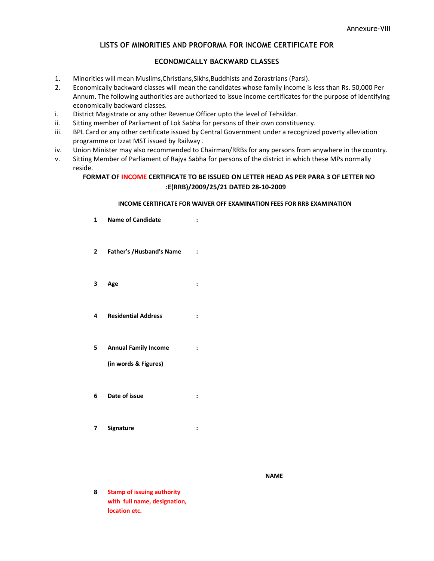## **LISTS OF MINORITIES AND PROFORMA FOR INCOME CERTIFICATE FOR**

## **ECONOMICALLY BACKWARD CLASSES**

- 1. Minorities will mean Muslims,Christians,Sikhs,Buddhists and Zorastrians (Parsi).
- 2. Economically backward classes will mean the candidates whose family income is less than Rs. 50,000 Per Annum. The following authorities are authorized to issue income certificates for the purpose of identifying economically backward classes.
- i. District Magistrate or any other Revenue Officer upto the level of Tehsildar.
- ii. Sitting member of Parliament of Lok Sabha for persons of their own constituency.
- iii. BPL Card or any other certificate issued by Central Government under a recognized poverty alleviation programme or Izzat MST issued by Railway .
- iv. Union Minister may also recommended to Chairman/RRBs for any persons from anywhere in the country.
- v. Sitting Member of Parliament of Rajya Sabha for persons of the district in which these MPs normally reside.

## **FORMAT OF INCOME CERTIFICATE TO BE ISSUED ON LETTER HEAD AS PER PARA 3 OF LETTER NO :E(RRB)/2009/25/21 DATED 28‐10‐2009**

#### **INCOME CERTIFICATE FOR WAIVER OFF EXAMINATION FEES FOR RRB EXAMINATION**

- **1 Name of Candidate : 2 Father's /Husband's Name : 3 Age : 4 Residential Address : 5 Annual Family Income (in words & Figures) :**
- **6 Date of issue :**
- **7 Signature :**

 **NAME**

**8 Stamp of issuing authority with full name, designation, location etc.**